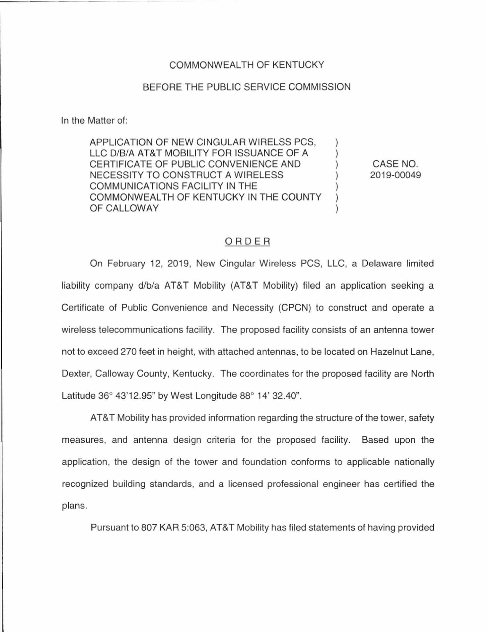## COMMONWEALTH OF KENTUCKY

## BEFORE THE PUBLIC SERVICE COMMISSION

In the Matter of:

APPLICATION OF NEW CINGULAR WIRELSS PCS, LLC D/B/A AT&T MOBILITY FOR ISSUANCE OF A CERTIFICATE OF PUBLIC CONVENIENCE AND NECESSITY TO CONSTRUCT A WIRELESS COMMUNICATIONS FACILITY IN **THE**  COMMONWEALTH OF KENTUCKY IN THE COUNTY OF CALLOWAY

CASE NO. 2019-00049

## ORDER

On February 12, 2019, New Cingular Wireless PCS, LLC, a Delaware limited liability company d/b/a AT&T Mobility (AT&T Mobility) filed an application seeking a Certificate of Public Convenience and Necessity (CPCN) to construct and operate a wireless telecommunications facility. The proposed facility consists of an antenna tower not to exceed 270 feet in height, with attached antennas, to be located on Hazelnut Lane, Dexter, Calloway County, Kentucky. The coordinates for the proposed facility are North Latitude 36° 43'12.95" by West Longitude 88° 14' 32.40".

AT&T Mobility has provided information regarding the structure of the tower, safety measures, and antenna design criteria for the proposed facility. Based upon the application, the design of the tower and foundation conforms to applicable nationally recognized building standards, and a licensed professional engineer has certified the plans.

Pursuant to 807 KAR 5:063, AT&T Mobility has filed statements of having provided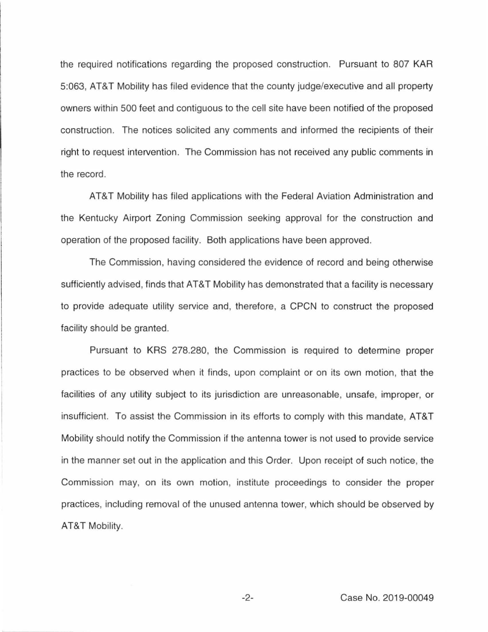the required notifications regarding the proposed construction. Pursuant to 807 KAR 5:063, AT&T Mobility has filed evidence that the county judge/executive and all property owners within 500 feet and contiguous to the cell site have been notified of the proposed construction. The notices solicited any comments and informed the recipients of their right to request intervention. The Commission has not received any public comments in the record.

AT&T Mobility has filed applications with the Federal Aviation Administration and the Kentucky Airport Zoning Commission seeking approval for the construction and operation of the proposed facility. Both applications have been approved.

The Commission, having considered the evidence of record and being otherwise sufficiently advised, finds that AT&T Mobility has demonstrated that a facility is necessary to provide adequate utility service and, therefore, a CPCN to construct the proposed facility should be granted.

Pursuant to KRS 278.280, the Commission is required to determine proper practices to be observed when it finds, upon complaint or on its own motion, that the facilities of any utility subject to its jurisdiction are unreasonable, unsafe, improper, or insufficient. To assist the Commission in its efforts to comply with this mandate, AT&T Mobility should notify the Commission if the antenna tower is not used to provide service in the manner set out in the application and this Order. Upon receipt of such notice, the Commission may, on its own motion, institute proceedings to consider the proper practices, including removal of the unused antenna tower, which should be observed by AT&T Mobility.

-2- Case No. 2019-00049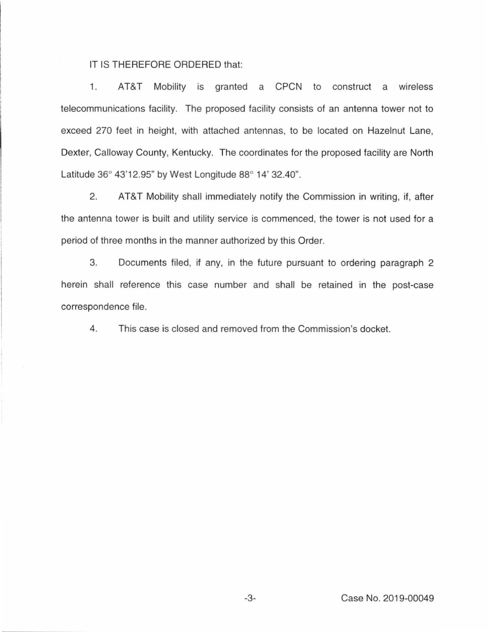IT IS THEREFORE ORDERED that:

1. AT&T Mobility is granted a CPCN to construct a wireless telecommunications facility. The proposed facility consists of an antenna tower not to exceed 270 feet in height, with attached antennas, to be located on Hazelnut Lane, Dexter, Calloway County, Kentucky. The coordinates for the proposed facility are North Latitude 36° 43'12.95" by West Longitude 88° 14' 32.40".

2. AT&T Mobility shall immediately notify the Commission in writing, if, after the antenna tower is built and utility service is commenced, the tower is not used for a period of three months in the manner authorized by this Order.

3. Documents filed, if any, in the future pursuant to ordering paragraph 2 herein shall reference this case number and shall be retained in the post-case correspondence file.

4. This case is closed and removed from the Commission's docket.

-3- Case No. 2019-00049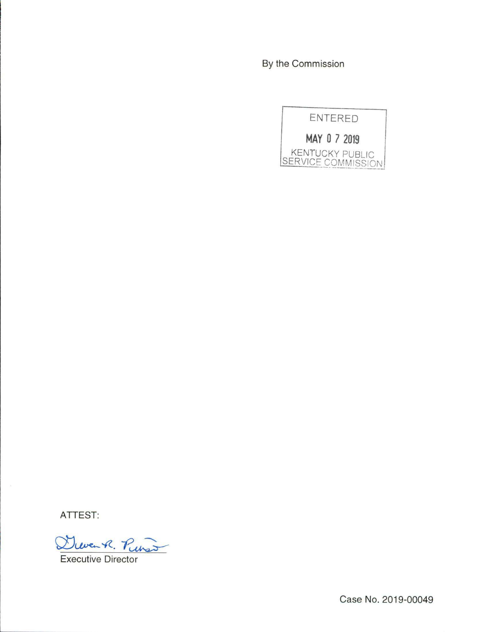By the Commission



ATTEST:

Dieven R. Pinso **Executive Director** 

Case No. 2019-00049